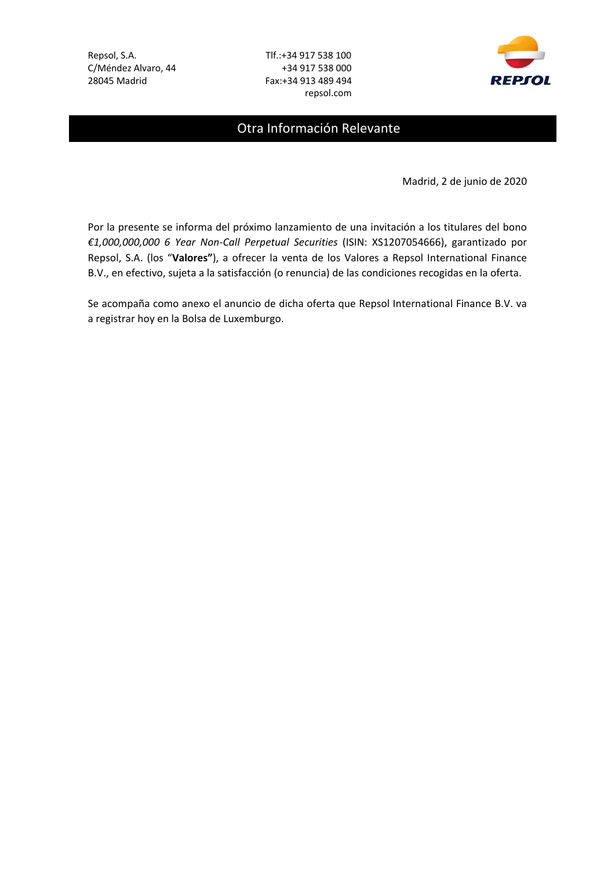C/Méndez Alvaro, 44 +34 917 538 000 28045 Madrid Fax:+34 913 489 494

Repsol, S.A. Tlf.:+34 917 538 100 repsol.com



# Otra Información Relevante

Madrid, 2 de junio de 2020

Por la presente se informa del próximo lanzamiento de una invitación a los titulares del bono *€1,000,000,000 6 Year Non‐Call Perpetual Securities* (ISIN: XS1207054666), garantizado por Repsol, S.A. (los "**Valores"**), a ofrecer la venta de los Valores a Repsol International Finance B.V., en efectivo, sujeta a la satisfacción (o renuncia) de las condiciones recogidas en la oferta.

Se acompaña como anexo el anuncio de dicha oferta que Repsol International Finance B.V. va a registrar hoy en la Bolsa de Luxemburgo.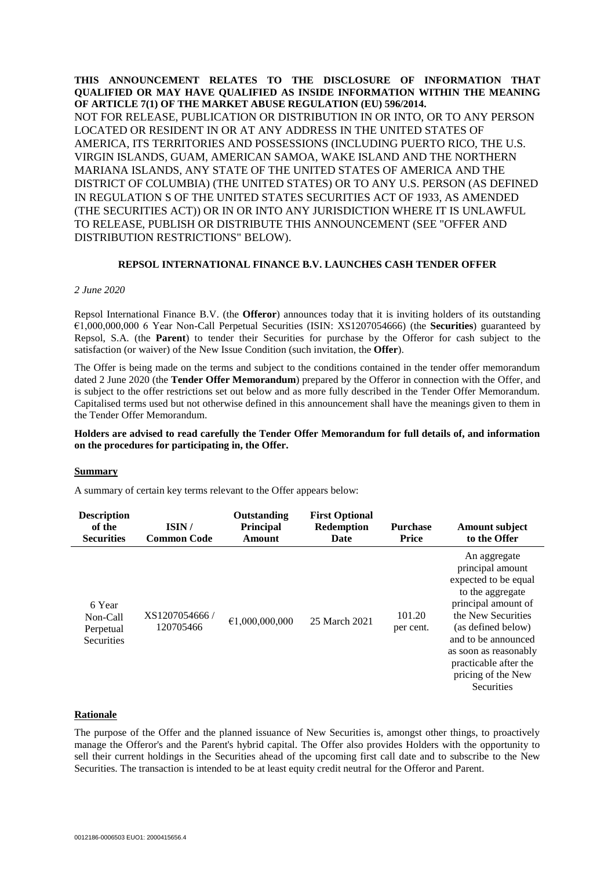**THIS ANNOUNCEMENT RELATES TO THE DISCLOSURE OF INFORMATION THAT QUALIFIED OR MAY HAVE QUALIFIED AS INSIDE INFORMATION WITHIN THE MEANING OF ARTICLE 7(1) OF THE MARKET ABUSE REGULATION (EU) 596/2014.** NOT FOR RELEASE, PUBLICATION OR DISTRIBUTION IN OR INTO, OR TO ANY PERSON LOCATED OR RESIDENT IN OR AT ANY ADDRESS IN THE UNITED STATES OF AMERICA, ITS TERRITORIES AND POSSESSIONS (INCLUDING PUERTO RICO, THE U.S. VIRGIN ISLANDS, GUAM, AMERICAN SAMOA, WAKE ISLAND AND THE NORTHERN MARIANA ISLANDS, ANY STATE OF THE UNITED STATES OF AMERICA AND THE DISTRICT OF COLUMBIA) (THE UNITED STATES) OR TO ANY U.S. PERSON (AS DEFINED IN REGULATION S OF THE UNITED STATES SECURITIES ACT OF 1933, AS AMENDED (THE SECURITIES ACT)) OR IN OR INTO ANY JURISDICTION WHERE IT IS UNLAWFUL TO RELEASE, PUBLISH OR DISTRIBUTE THIS ANNOUNCEMENT (SEE "OFFER AND DISTRIBUTION RESTRICTIONS" BELOW).

# **REPSOL INTERNATIONAL FINANCE B.V. LAUNCHES CASH TENDER OFFER**

#### *2 June 2020*

Repsol International Finance B.V. (the **Offeror**) announces today that it is inviting holders of its outstanding €1,000,000,000 6 Year Non-Call Perpetual Securities (ISIN: XS1207054666) (the **Securities**) guaranteed by Repsol, S.A. (the **Parent**) to tender their Securities for purchase by the Offeror for cash subject to the satisfaction (or waiver) of the New Issue Condition (such invitation, the **Offer**).

The Offer is being made on the terms and subject to the conditions contained in the tender offer memorandum dated 2 June 2020 (the **Tender Offer Memorandum**) prepared by the Offeror in connection with the Offer, and is subject to the offer restrictions set out below and as more fully described in the Tender Offer Memorandum. Capitalised terms used but not otherwise defined in this announcement shall have the meanings given to them in the Tender Offer Memorandum.

# **Holders are advised to read carefully the Tender Offer Memorandum for full details of, and information on the procedures for participating in, the Offer.**

## **Summary**

A summary of certain key terms relevant to the Offer appears below:

| <b>Description</b><br>of the<br><b>Securities</b>    | ISIN/<br><b>Common Code</b> | Outstanding<br><b>Principal</b><br>Amount | <b>First Optional</b><br><b>Redemption</b><br>Date | <b>Purchase</b><br><b>Price</b> | <b>Amount subject</b><br>to the Offer                                                                                                                                                                                                                        |
|------------------------------------------------------|-----------------------------|-------------------------------------------|----------------------------------------------------|---------------------------------|--------------------------------------------------------------------------------------------------------------------------------------------------------------------------------------------------------------------------------------------------------------|
| 6 Year<br>Non-Call<br>Perpetual<br><b>Securities</b> | XS1207054666/<br>120705466  | €1,000,000,000                            | 25 March 2021                                      | 101.20<br>per cent.             | An aggregate<br>principal amount<br>expected to be equal<br>to the aggregate<br>principal amount of<br>the New Securities<br>(as defined below)<br>and to be announced<br>as soon as reasonably<br>practicable after the<br>pricing of the New<br>Securities |

# **Rationale**

The purpose of the Offer and the planned issuance of New Securities is, amongst other things, to proactively manage the Offeror's and the Parent's hybrid capital. The Offer also provides Holders with the opportunity to sell their current holdings in the Securities ahead of the upcoming first call date and to subscribe to the New Securities. The transaction is intended to be at least equity credit neutral for the Offeror and Parent.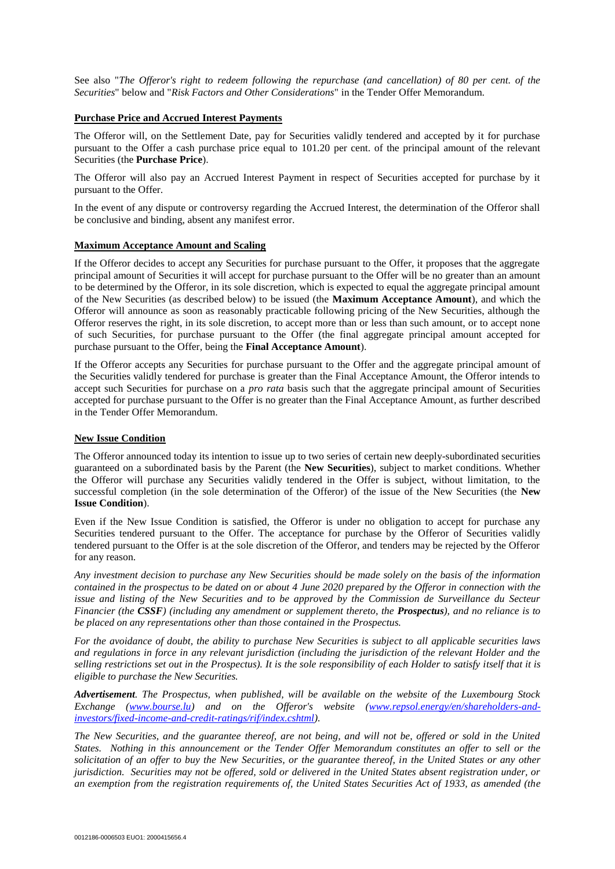See also "*The Offeror's right to redeem following the repurchase (and cancellation) of 80 per cent. of the Securities*" below and "*Risk Factors and Other Considerations*" in the Tender Offer Memorandum.

#### **Purchase Price and Accrued Interest Payments**

The Offeror will, on the Settlement Date, pay for Securities validly tendered and accepted by it for purchase pursuant to the Offer a cash purchase price equal to 101.20 per cent. of the principal amount of the relevant Securities (the **Purchase Price**).

The Offeror will also pay an Accrued Interest Payment in respect of Securities accepted for purchase by it pursuant to the Offer.

In the event of any dispute or controversy regarding the Accrued Interest, the determination of the Offeror shall be conclusive and binding, absent any manifest error.

#### **Maximum Acceptance Amount and Scaling**

If the Offeror decides to accept any Securities for purchase pursuant to the Offer, it proposes that the aggregate principal amount of Securities it will accept for purchase pursuant to the Offer will be no greater than an amount to be determined by the Offeror, in its sole discretion, which is expected to equal the aggregate principal amount of the New Securities (as described below) to be issued (the **Maximum Acceptance Amount**), and which the Offeror will announce as soon as reasonably practicable following pricing of the New Securities, although the Offeror reserves the right, in its sole discretion, to accept more than or less than such amount, or to accept none of such Securities, for purchase pursuant to the Offer (the final aggregate principal amount accepted for purchase pursuant to the Offer, being the **Final Acceptance Amount**).

If the Offeror accepts any Securities for purchase pursuant to the Offer and the aggregate principal amount of the Securities validly tendered for purchase is greater than the Final Acceptance Amount, the Offeror intends to accept such Securities for purchase on a *pro rata* basis such that the aggregate principal amount of Securities accepted for purchase pursuant to the Offer is no greater than the Final Acceptance Amount, as further described in the Tender Offer Memorandum.

# **New Issue Condition**

The Offeror announced today its intention to issue up to two series of certain new deeply-subordinated securities guaranteed on a subordinated basis by the Parent (the **New Securities**), subject to market conditions. Whether the Offeror will purchase any Securities validly tendered in the Offer is subject, without limitation, to the successful completion (in the sole determination of the Offeror) of the issue of the New Securities (the **New Issue Condition**).

Even if the New Issue Condition is satisfied, the Offeror is under no obligation to accept for purchase any Securities tendered pursuant to the Offer. The acceptance for purchase by the Offeror of Securities validly tendered pursuant to the Offer is at the sole discretion of the Offeror, and tenders may be rejected by the Offeror for any reason.

*Any investment decision to purchase any New Securities should be made solely on the basis of the information contained in the prospectus to be dated on or about 4 June 2020 prepared by the Offeror in connection with the issue and listing of the New Securities and to be approved by the Commission de Surveillance du Secteur Financier (the CSSF) (including any amendment or supplement thereto, the Prospectus), and no reliance is to be placed on any representations other than those contained in the Prospectus.* 

*For the avoidance of doubt, the ability to purchase New Securities is subject to all applicable securities laws and regulations in force in any relevant jurisdiction (including the jurisdiction of the relevant Holder and the selling restrictions set out in the Prospectus). It is the sole responsibility of each Holder to satisfy itself that it is eligible to purchase the New Securities.*

*Advertisement. The Prospectus, when published, will be available on the website of the Luxembourg Stock Exchange [\(www.bourse.lu\)](http://www.bourse.lu/) and on the Offeror's website [\(www.repsol.energy/en/shareholders-and](http://www.repsol.energy/en/shareholders-and-investors/fixed-income-and-credit-ratings/rif/index.cshtml)[investors/fixed-income-and-credit-ratings/rif/index.cshtml\)](http://www.repsol.energy/en/shareholders-and-investors/fixed-income-and-credit-ratings/rif/index.cshtml).*

*The New Securities, and the guarantee thereof, are not being, and will not be, offered or sold in the United States. Nothing in this announcement or the Tender Offer Memorandum constitutes an offer to sell or the solicitation of an offer to buy the New Securities, or the guarantee thereof, in the United States or any other jurisdiction. Securities may not be offered, sold or delivered in the United States absent registration under, or an exemption from the registration requirements of, the United States Securities Act of 1933, as amended (the*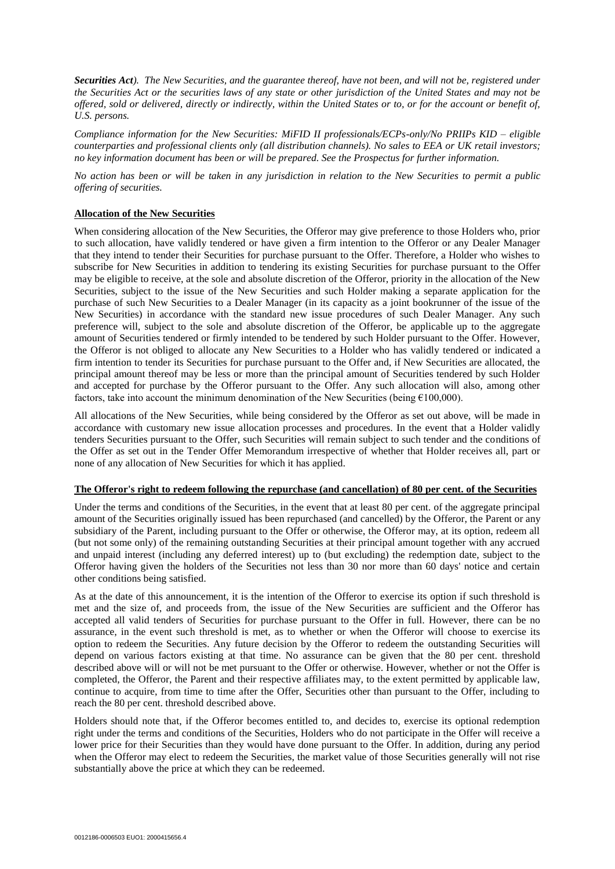*Securities Act). The New Securities, and the guarantee thereof, have not been, and will not be, registered under the Securities Act or the securities laws of any state or other jurisdiction of the United States and may not be offered, sold or delivered, directly or indirectly, within the United States or to, or for the account or benefit of, U.S. persons.*

*Compliance information for the New Securities: MiFID II professionals/ECPs-only/No PRIIPs KID – eligible counterparties and professional clients only (all distribution channels). No sales to EEA or UK retail investors; no key information document has been or will be prepared. See the Prospectus for further information.*

*No action has been or will be taken in any jurisdiction in relation to the New Securities to permit a public offering of securities.*

# **Allocation of the New Securities**

When considering allocation of the New Securities, the Offeror may give preference to those Holders who, prior to such allocation, have validly tendered or have given a firm intention to the Offeror or any Dealer Manager that they intend to tender their Securities for purchase pursuant to the Offer. Therefore, a Holder who wishes to subscribe for New Securities in addition to tendering its existing Securities for purchase pursuant to the Offer may be eligible to receive, at the sole and absolute discretion of the Offeror, priority in the allocation of the New Securities, subject to the issue of the New Securities and such Holder making a separate application for the purchase of such New Securities to a Dealer Manager (in its capacity as a joint bookrunner of the issue of the New Securities) in accordance with the standard new issue procedures of such Dealer Manager. Any such preference will, subject to the sole and absolute discretion of the Offeror, be applicable up to the aggregate amount of Securities tendered or firmly intended to be tendered by such Holder pursuant to the Offer. However, the Offeror is not obliged to allocate any New Securities to a Holder who has validly tendered or indicated a firm intention to tender its Securities for purchase pursuant to the Offer and, if New Securities are allocated, the principal amount thereof may be less or more than the principal amount of Securities tendered by such Holder and accepted for purchase by the Offeror pursuant to the Offer. Any such allocation will also, among other factors, take into account the minimum denomination of the New Securities (being  $£100,000$ ).

All allocations of the New Securities, while being considered by the Offeror as set out above, will be made in accordance with customary new issue allocation processes and procedures. In the event that a Holder validly tenders Securities pursuant to the Offer, such Securities will remain subject to such tender and the conditions of the Offer as set out in the Tender Offer Memorandum irrespective of whether that Holder receives all, part or none of any allocation of New Securities for which it has applied.

## **The Offeror's right to redeem following the repurchase (and cancellation) of 80 per cent. of the Securities**

Under the terms and conditions of the Securities, in the event that at least 80 per cent. of the aggregate principal amount of the Securities originally issued has been repurchased (and cancelled) by the Offeror, the Parent or any subsidiary of the Parent, including pursuant to the Offer or otherwise, the Offeror may, at its option, redeem all (but not some only) of the remaining outstanding Securities at their principal amount together with any accrued and unpaid interest (including any deferred interest) up to (but excluding) the redemption date, subject to the Offeror having given the holders of the Securities not less than 30 nor more than 60 days' notice and certain other conditions being satisfied.

As at the date of this announcement, it is the intention of the Offeror to exercise its option if such threshold is met and the size of, and proceeds from, the issue of the New Securities are sufficient and the Offeror has accepted all valid tenders of Securities for purchase pursuant to the Offer in full. However, there can be no assurance, in the event such threshold is met, as to whether or when the Offeror will choose to exercise its option to redeem the Securities. Any future decision by the Offeror to redeem the outstanding Securities will depend on various factors existing at that time. No assurance can be given that the 80 per cent. threshold described above will or will not be met pursuant to the Offer or otherwise. However, whether or not the Offer is completed, the Offeror, the Parent and their respective affiliates may, to the extent permitted by applicable law, continue to acquire, from time to time after the Offer, Securities other than pursuant to the Offer, including to reach the 80 per cent. threshold described above.

Holders should note that, if the Offeror becomes entitled to, and decides to, exercise its optional redemption right under the terms and conditions of the Securities, Holders who do not participate in the Offer will receive a lower price for their Securities than they would have done pursuant to the Offer. In addition, during any period when the Offeror may elect to redeem the Securities, the market value of those Securities generally will not rise substantially above the price at which they can be redeemed.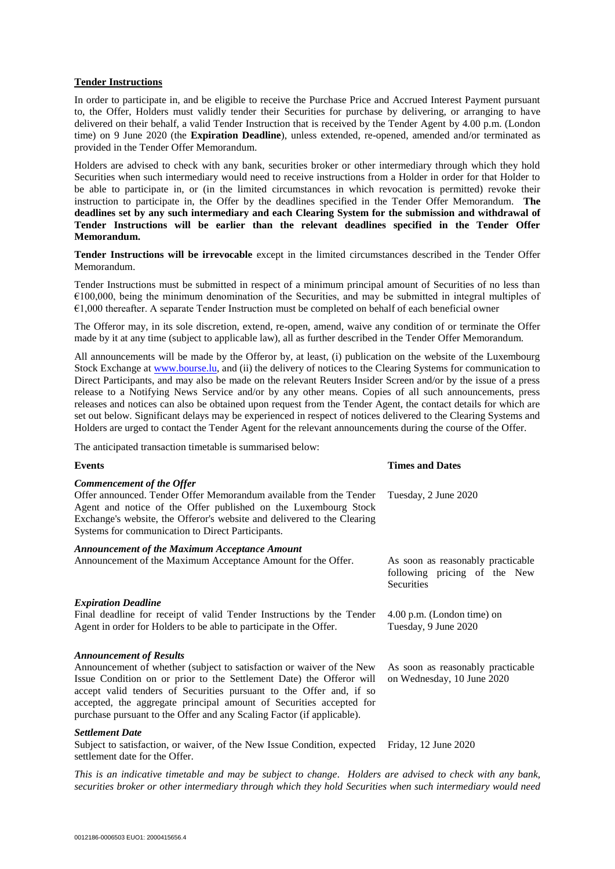# **Tender Instructions**

In order to participate in, and be eligible to receive the Purchase Price and Accrued Interest Payment pursuant to, the Offer, Holders must validly tender their Securities for purchase by delivering, or arranging to have delivered on their behalf, a valid Tender Instruction that is received by the Tender Agent by 4.00 p.m. (London time) on 9 June 2020 (the **Expiration Deadline**), unless extended, re-opened, amended and/or terminated as provided in the Tender Offer Memorandum.

Holders are advised to check with any bank, securities broker or other intermediary through which they hold Securities when such intermediary would need to receive instructions from a Holder in order for that Holder to be able to participate in, or (in the limited circumstances in which revocation is permitted) revoke their instruction to participate in, the Offer by the deadlines specified in the Tender Offer Memorandum. **The deadlines set by any such intermediary and each Clearing System for the submission and withdrawal of Tender Instructions will be earlier than the relevant deadlines specified in the Tender Offer Memorandum.**

**Tender Instructions will be irrevocable** except in the limited circumstances described in the Tender Offer Memorandum.

Tender Instructions must be submitted in respect of a minimum principal amount of Securities of no less than €100,000, being the minimum denomination of the Securities, and may be submitted in integral multiples of  $€1,000$  thereafter. A separate Tender Instruction must be completed on behalf of each beneficial owner

The Offeror may, in its sole discretion, extend, re-open, amend, waive any condition of or terminate the Offer made by it at any time (subject to applicable law), all as further described in the Tender Offer Memorandum.

All announcements will be made by the Offeror by, at least, (i) publication on the website of the Luxembourg Stock Exchange at [www.bourse.lu,](http://www.bourse.lu/) and (ii) the delivery of notices to the Clearing Systems for communication to Direct Participants, and may also be made on the relevant Reuters Insider Screen and/or by the issue of a press release to a Notifying News Service and/or by any other means. Copies of all such announcements, press releases and notices can also be obtained upon request from the Tender Agent, the contact details for which are set out below. Significant delays may be experienced in respect of notices delivered to the Clearing Systems and Holders are urged to contact the Tender Agent for the relevant announcements during the course of the Offer.

The anticipated transaction timetable is summarised below:

| <b>Events</b>                                                                                                                                                                                                                                                                                                                                                                                           | <b>Times and Dates</b>                                                                 |
|---------------------------------------------------------------------------------------------------------------------------------------------------------------------------------------------------------------------------------------------------------------------------------------------------------------------------------------------------------------------------------------------------------|----------------------------------------------------------------------------------------|
| Commencement of the Offer<br>Offer announced. Tender Offer Memorandum available from the Tender<br>Agent and notice of the Offer published on the Luxembourg Stock<br>Exchange's website, the Offeror's website and delivered to the Clearing<br>Systems for communication to Direct Participants.                                                                                                      | Tuesday, 2 June 2020                                                                   |
| <b>Announcement of the Maximum Acceptance Amount</b><br>Announcement of the Maximum Acceptance Amount for the Offer.                                                                                                                                                                                                                                                                                    | As soon as reasonably practicable<br>following pricing of the New<br><b>Securities</b> |
| <b>Expiration Deadline</b><br>Final deadline for receipt of valid Tender Instructions by the Tender<br>Agent in order for Holders to be able to participate in the Offer.                                                                                                                                                                                                                               | $4.00$ p.m. (London time) on<br>Tuesday, 9 June 2020                                   |
| <b>Announcement of Results</b><br>Announcement of whether (subject to satisfaction or waiver of the New<br>Issue Condition on or prior to the Settlement Date) the Offeror will<br>accept valid tenders of Securities pursuant to the Offer and, if so<br>accepted, the aggregate principal amount of Securities accepted for<br>purchase pursuant to the Offer and any Scaling Factor (if applicable). | As soon as reasonably practicable<br>on Wednesday, 10 June 2020                        |

#### *Settlement Date*

Subject to satisfaction, or waiver, of the New Issue Condition, expected Friday, 12 June 2020 settlement date for the Offer.

*This is an indicative timetable and may be subject to change. Holders are advised to check with any bank, securities broker or other intermediary through which they hold Securities when such intermediary would need*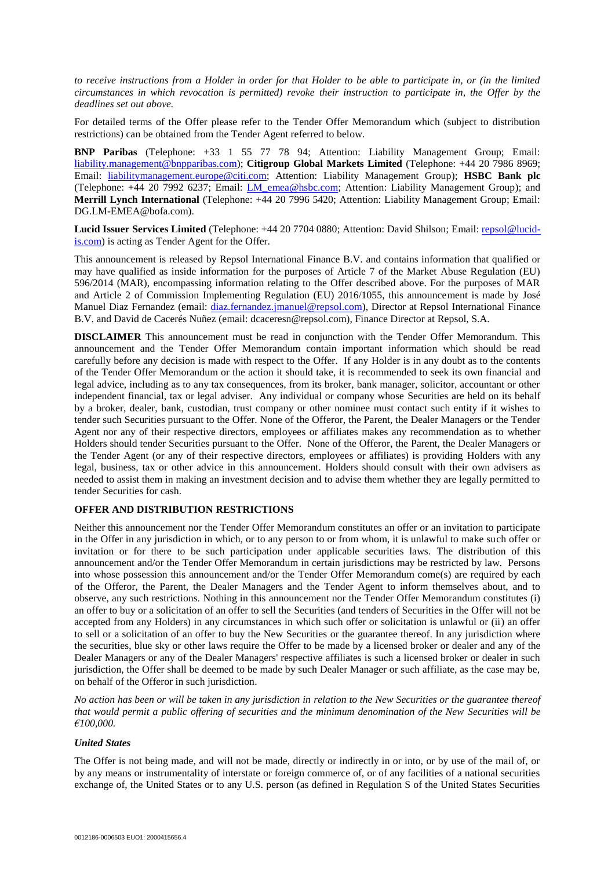*to receive instructions from a Holder in order for that Holder to be able to participate in, or (in the limited circumstances in which revocation is permitted) revoke their instruction to participate in, the Offer by the deadlines set out above.*

For detailed terms of the Offer please refer to the Tender Offer Memorandum which (subject to distribution restrictions) can be obtained from the Tender Agent referred to below.

**BNP Paribas** (Telephone: +33 1 55 77 78 94; Attention: Liability Management Group; Email: [liability.management@bnpparibas.com\)](mailto:liability.management@bnpparibas.com); **Citigroup Global Markets Limited** (Telephone: +44 20 7986 8969; Email: [liabilitymanagement.europe@citi.com;](mailto:liabilitymanagement.europe@citi.com) Attention: Liability Management Group); **HSBC Bank plc** (Telephone: +44 20 7992 6237; Email: [LM\\_emea@hsbc.com;](mailto:LM_emea@hsbc.com) Attention: Liability Management Group); and **Merrill Lynch International** (Telephone: +44 20 7996 5420; Attention: Liability Management Group; Email: DG.LM-EMEA@bofa.com).

**Lucid Issuer Services Limited** (Telephone: +44 20 7704 0880; Attention: David Shilson; Email: [repsol@lucid](mailto:repsol@lucid-is.com)[is.com\)](mailto:repsol@lucid-is.com) is acting as Tender Agent for the Offer.

This announcement is released by Repsol International Finance B.V. and contains information that qualified or may have qualified as inside information for the purposes of Article 7 of the Market Abuse Regulation (EU) 596/2014 (MAR), encompassing information relating to the Offer described above. For the purposes of MAR and Article 2 of Commission Implementing Regulation (EU) 2016/1055, this announcement is made by José Manuel Diaz Fernandez (email: [diaz.fernandez.jmanuel@repsol.com\)](mailto:diaz.fernandez.jmanuel@repsol.com), Director at Repsol International Finance B.V. and David de Cacerés Nuñez (email: dcaceresn@repsol.com), Finance Director at Repsol, S.A.

**DISCLAIMER** This announcement must be read in conjunction with the Tender Offer Memorandum. This announcement and the Tender Offer Memorandum contain important information which should be read carefully before any decision is made with respect to the Offer. If any Holder is in any doubt as to the contents of the Tender Offer Memorandum or the action it should take, it is recommended to seek its own financial and legal advice, including as to any tax consequences, from its broker, bank manager, solicitor, accountant or other independent financial, tax or legal adviser. Any individual or company whose Securities are held on its behalf by a broker, dealer, bank, custodian, trust company or other nominee must contact such entity if it wishes to tender such Securities pursuant to the Offer. None of the Offeror, the Parent, the Dealer Managers or the Tender Agent nor any of their respective directors, employees or affiliates makes any recommendation as to whether Holders should tender Securities pursuant to the Offer. None of the Offeror, the Parent, the Dealer Managers or the Tender Agent (or any of their respective directors, employees or affiliates) is providing Holders with any legal, business, tax or other advice in this announcement. Holders should consult with their own advisers as needed to assist them in making an investment decision and to advise them whether they are legally permitted to tender Securities for cash.

## **OFFER AND DISTRIBUTION RESTRICTIONS**

Neither this announcement nor the Tender Offer Memorandum constitutes an offer or an invitation to participate in the Offer in any jurisdiction in which, or to any person to or from whom, it is unlawful to make such offer or invitation or for there to be such participation under applicable securities laws. The distribution of this announcement and/or the Tender Offer Memorandum in certain jurisdictions may be restricted by law. Persons into whose possession this announcement and/or the Tender Offer Memorandum come(s) are required by each of the Offeror, the Parent, the Dealer Managers and the Tender Agent to inform themselves about, and to observe, any such restrictions. Nothing in this announcement nor the Tender Offer Memorandum constitutes (i) an offer to buy or a solicitation of an offer to sell the Securities (and tenders of Securities in the Offer will not be accepted from any Holders) in any circumstances in which such offer or solicitation is unlawful or (ii) an offer to sell or a solicitation of an offer to buy the New Securities or the guarantee thereof. In any jurisdiction where the securities, blue sky or other laws require the Offer to be made by a licensed broker or dealer and any of the Dealer Managers or any of the Dealer Managers' respective affiliates is such a licensed broker or dealer in such jurisdiction, the Offer shall be deemed to be made by such Dealer Manager or such affiliate, as the case may be, on behalf of the Offeror in such jurisdiction.

*No action has been or will be taken in any jurisdiction in relation to the New Securities or the guarantee thereof that would permit a public offering of securities and the minimum denomination of the New Securities will be €100,000.*

# *United States*

The Offer is not being made, and will not be made, directly or indirectly in or into, or by use of the mail of, or by any means or instrumentality of interstate or foreign commerce of, or of any facilities of a national securities exchange of, the United States or to any U.S. person (as defined in Regulation S of the United States Securities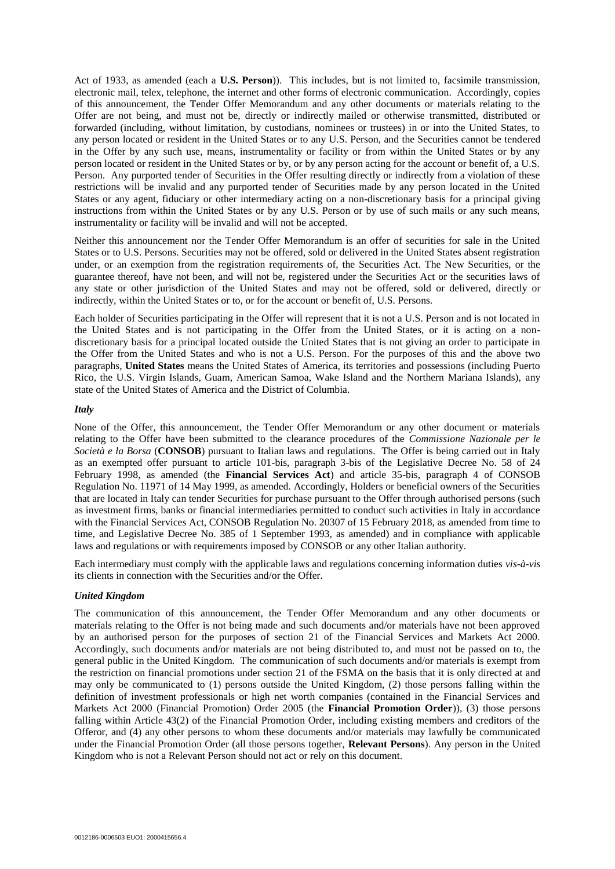Act of 1933, as amended (each a **U.S. Person**)). This includes, but is not limited to, facsimile transmission, electronic mail, telex, telephone, the internet and other forms of electronic communication. Accordingly, copies of this announcement, the Tender Offer Memorandum and any other documents or materials relating to the Offer are not being, and must not be, directly or indirectly mailed or otherwise transmitted, distributed or forwarded (including, without limitation, by custodians, nominees or trustees) in or into the United States, to any person located or resident in the United States or to any U.S. Person, and the Securities cannot be tendered in the Offer by any such use, means, instrumentality or facility or from within the United States or by any person located or resident in the United States or by, or by any person acting for the account or benefit of, a U.S. Person. Any purported tender of Securities in the Offer resulting directly or indirectly from a violation of these restrictions will be invalid and any purported tender of Securities made by any person located in the United States or any agent, fiduciary or other intermediary acting on a non-discretionary basis for a principal giving instructions from within the United States or by any U.S. Person or by use of such mails or any such means, instrumentality or facility will be invalid and will not be accepted.

Neither this announcement nor the Tender Offer Memorandum is an offer of securities for sale in the United States or to U.S. Persons. Securities may not be offered, sold or delivered in the United States absent registration under, or an exemption from the registration requirements of, the Securities Act. The New Securities, or the guarantee thereof, have not been, and will not be, registered under the Securities Act or the securities laws of any state or other jurisdiction of the United States and may not be offered, sold or delivered, directly or indirectly, within the United States or to, or for the account or benefit of, U.S. Persons.

Each holder of Securities participating in the Offer will represent that it is not a U.S. Person and is not located in the United States and is not participating in the Offer from the United States, or it is acting on a nondiscretionary basis for a principal located outside the United States that is not giving an order to participate in the Offer from the United States and who is not a U.S. Person. For the purposes of this and the above two paragraphs, **United States** means the United States of America, its territories and possessions (including Puerto Rico, the U.S. Virgin Islands, Guam, American Samoa, Wake Island and the Northern Mariana Islands), any state of the United States of America and the District of Columbia.

## *Italy*

None of the Offer, this announcement, the Tender Offer Memorandum or any other document or materials relating to the Offer have been submitted to the clearance procedures of the *Commissione Nazionale per le Società e la Borsa* (**CONSOB**) pursuant to Italian laws and regulations. The Offer is being carried out in Italy as an exempted offer pursuant to article 101-bis, paragraph 3-bis of the Legislative Decree No. 58 of 24 February 1998, as amended (the **Financial Services Act**) and article 35-bis, paragraph 4 of CONSOB Regulation No. 11971 of 14 May 1999, as amended. Accordingly, Holders or beneficial owners of the Securities that are located in Italy can tender Securities for purchase pursuant to the Offer through authorised persons (such as investment firms, banks or financial intermediaries permitted to conduct such activities in Italy in accordance with the Financial Services Act, CONSOB Regulation No. 20307 of 15 February 2018, as amended from time to time, and Legislative Decree No. 385 of 1 September 1993, as amended) and in compliance with applicable laws and regulations or with requirements imposed by CONSOB or any other Italian authority.

Each intermediary must comply with the applicable laws and regulations concerning information duties *vis-à-vis* its clients in connection with the Securities and/or the Offer.

# *United Kingdom*

The communication of this announcement, the Tender Offer Memorandum and any other documents or materials relating to the Offer is not being made and such documents and/or materials have not been approved by an authorised person for the purposes of section 21 of the Financial Services and Markets Act 2000. Accordingly, such documents and/or materials are not being distributed to, and must not be passed on to, the general public in the United Kingdom. The communication of such documents and/or materials is exempt from the restriction on financial promotions under section 21 of the FSMA on the basis that it is only directed at and may only be communicated to (1) persons outside the United Kingdom, (2) those persons falling within the definition of investment professionals or high net worth companies (contained in the Financial Services and Markets Act 2000 (Financial Promotion) Order 2005 (the **Financial Promotion Order**)), (3) those persons falling within Article 43(2) of the Financial Promotion Order, including existing members and creditors of the Offeror, and (4) any other persons to whom these documents and/or materials may lawfully be communicated under the Financial Promotion Order (all those persons together, **Relevant Persons**). Any person in the United Kingdom who is not a Relevant Person should not act or rely on this document.